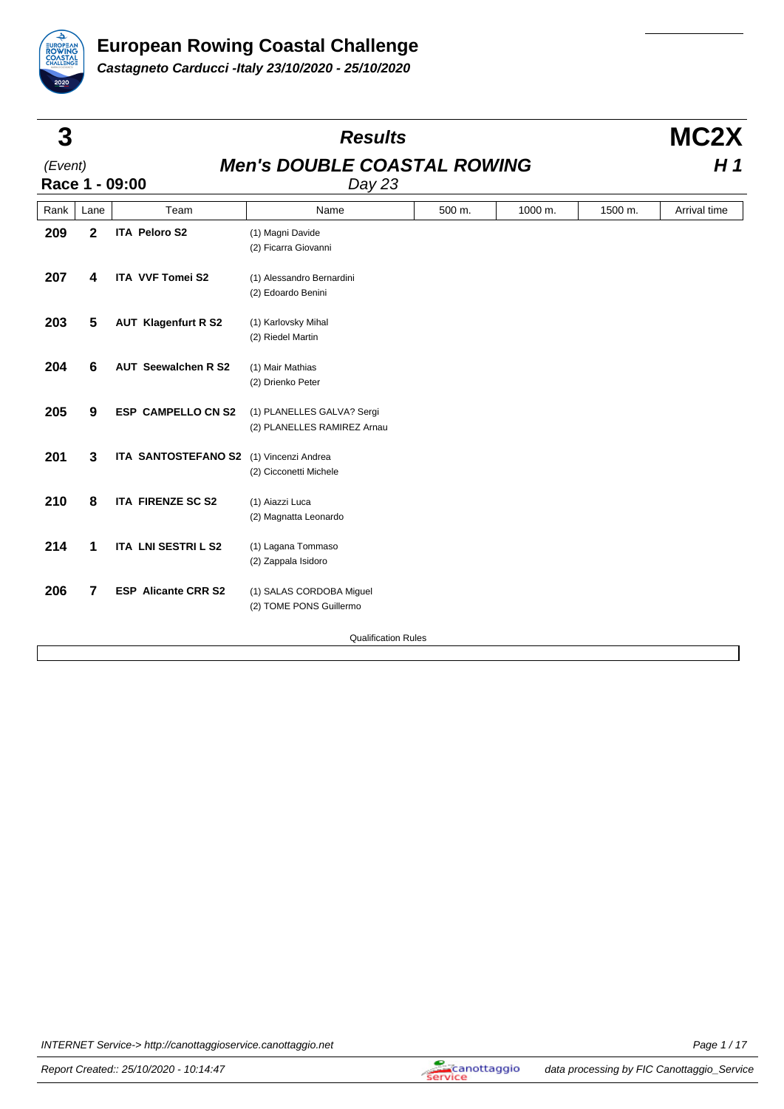

| 3       |                  |                                         | <b>Results</b>                                            |        |         |         | MC <sub>2</sub> X |  |
|---------|------------------|-----------------------------------------|-----------------------------------------------------------|--------|---------|---------|-------------------|--|
| (Event) |                  | Race 1 - 09:00                          | <b>Men's DOUBLE COASTAL ROWING</b><br>Day 23              |        |         |         | H 1               |  |
| Rank    | Lane             | Team                                    | Name                                                      | 500 m. | 1000 m. | 1500 m. | Arrival time      |  |
| 209     | $\mathbf 2$      | <b>ITA Peloro S2</b>                    | (1) Magni Davide<br>(2) Ficarra Giovanni                  |        |         |         |                   |  |
| 207     | 4                | <b>ITA VVF Tomei S2</b>                 | (1) Alessandro Bernardini<br>(2) Edoardo Benini           |        |         |         |                   |  |
| 203     | 5                | <b>AUT Klagenfurt R S2</b>              | (1) Karlovsky Mihal<br>(2) Riedel Martin                  |        |         |         |                   |  |
| 204     | $6\phantom{1}$   | <b>AUT Seewalchen R S2</b>              | (1) Mair Mathias<br>(2) Drienko Peter                     |        |         |         |                   |  |
| 205     | $\boldsymbol{9}$ | <b>ESP CAMPELLO CN S2</b>               | (1) PLANELLES GALVA? Sergi<br>(2) PLANELLES RAMIREZ Arnau |        |         |         |                   |  |
| 201     | 3                | ITA SANTOSTEFANO S2 (1) Vincenzi Andrea | (2) Cicconetti Michele                                    |        |         |         |                   |  |
| 210     | 8                | <b>ITA FIRENZE SC S2</b>                | (1) Aiazzi Luca<br>(2) Magnatta Leonardo                  |        |         |         |                   |  |
| 214     | 1                | ITA LNI SESTRI L S2                     | (1) Lagana Tommaso<br>(2) Zappala Isidoro                 |        |         |         |                   |  |
| 206     | 7                | <b>ESP Alicante CRR S2</b>              | (1) SALAS CORDOBA Miguel<br>(2) TOME PONS Guillermo       |        |         |         |                   |  |
|         |                  |                                         | <b>Qualification Rules</b>                                |        |         |         |                   |  |

INTERNET Service-> http://canottaggioservice.canottaggio.net Page 1/17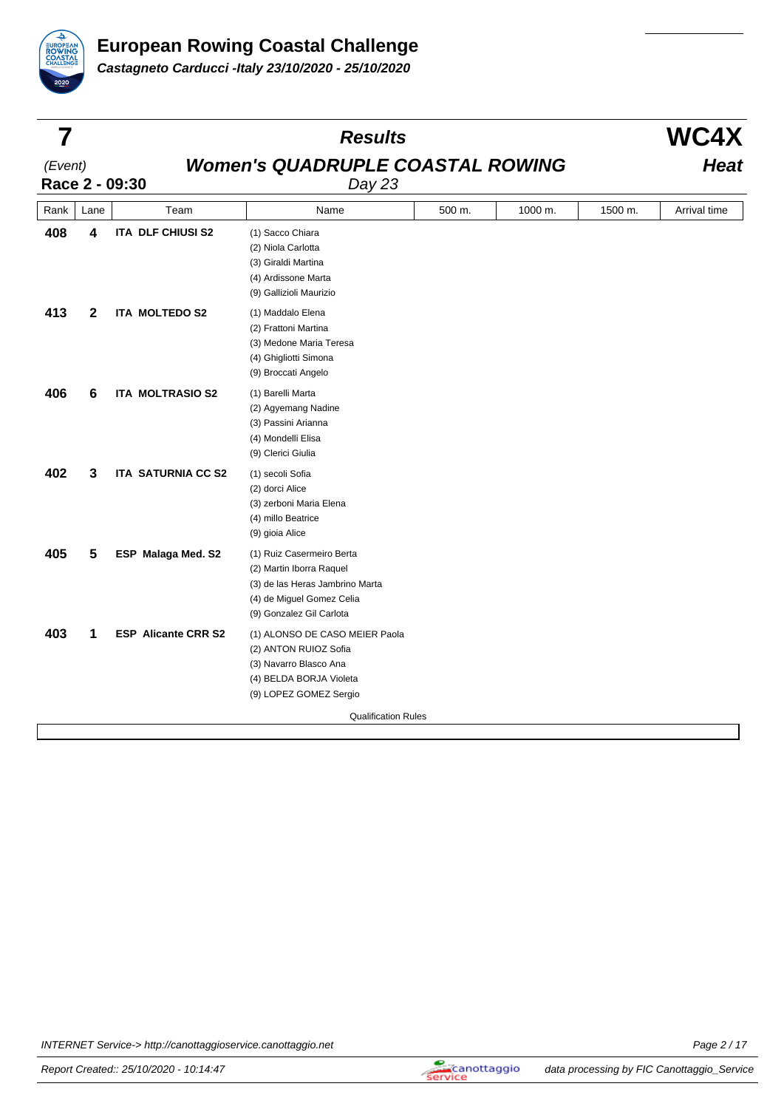

|         |              |                            | <b>Results</b>                                                                                                                                    |        |         |         | <b>WC4X</b>  |
|---------|--------------|----------------------------|---------------------------------------------------------------------------------------------------------------------------------------------------|--------|---------|---------|--------------|
| (Event) |              | Race 2 - 09:30             | <b>Women's QUADRUPLE COASTAL ROWING</b><br>Day 23                                                                                                 |        | Heat    |         |              |
| Rank    | Lane         | Team                       | Name                                                                                                                                              | 500 m. | 1000 m. | 1500 m. | Arrival time |
| 408     | 4            | <b>ITA DLF CHIUSI S2</b>   | (1) Sacco Chiara<br>(2) Niola Carlotta<br>(3) Giraldi Martina<br>(4) Ardissone Marta<br>(9) Gallizioli Maurizio                                   |        |         |         |              |
| 413     | $\mathbf{2}$ | <b>ITA MOLTEDO S2</b>      | (1) Maddalo Elena<br>(2) Frattoni Martina<br>(3) Medone Maria Teresa<br>(4) Ghigliotti Simona<br>(9) Broccati Angelo                              |        |         |         |              |
| 406     | 6            | <b>ITA MOLTRASIO S2</b>    | (1) Barelli Marta<br>(2) Agyemang Nadine<br>(3) Passini Arianna<br>(4) Mondelli Elisa<br>(9) Clerici Giulia                                       |        |         |         |              |
| 402     | 3            | <b>ITA SATURNIA CC S2</b>  | (1) secoli Sofia<br>(2) dorci Alice<br>(3) zerboni Maria Elena<br>(4) millo Beatrice<br>(9) gioia Alice                                           |        |         |         |              |
| 405     | 5            | ESP Malaga Med. S2         | (1) Ruiz Casermeiro Berta<br>(2) Martin Iborra Raquel<br>(3) de las Heras Jambrino Marta<br>(4) de Miguel Gomez Celia<br>(9) Gonzalez Gil Carlota |        |         |         |              |
| 403     | 1            | <b>ESP Alicante CRR S2</b> | (1) ALONSO DE CASO MEIER Paola<br>(2) ANTON RUIOZ Sofia<br>(3) Navarro Blasco Ana<br>(4) BELDA BORJA Violeta<br>(9) LOPEZ GOMEZ Sergio            |        |         |         |              |
|         |              |                            | <b>Qualification Rules</b>                                                                                                                        |        |         |         |              |
|         |              |                            |                                                                                                                                                   |        |         |         |              |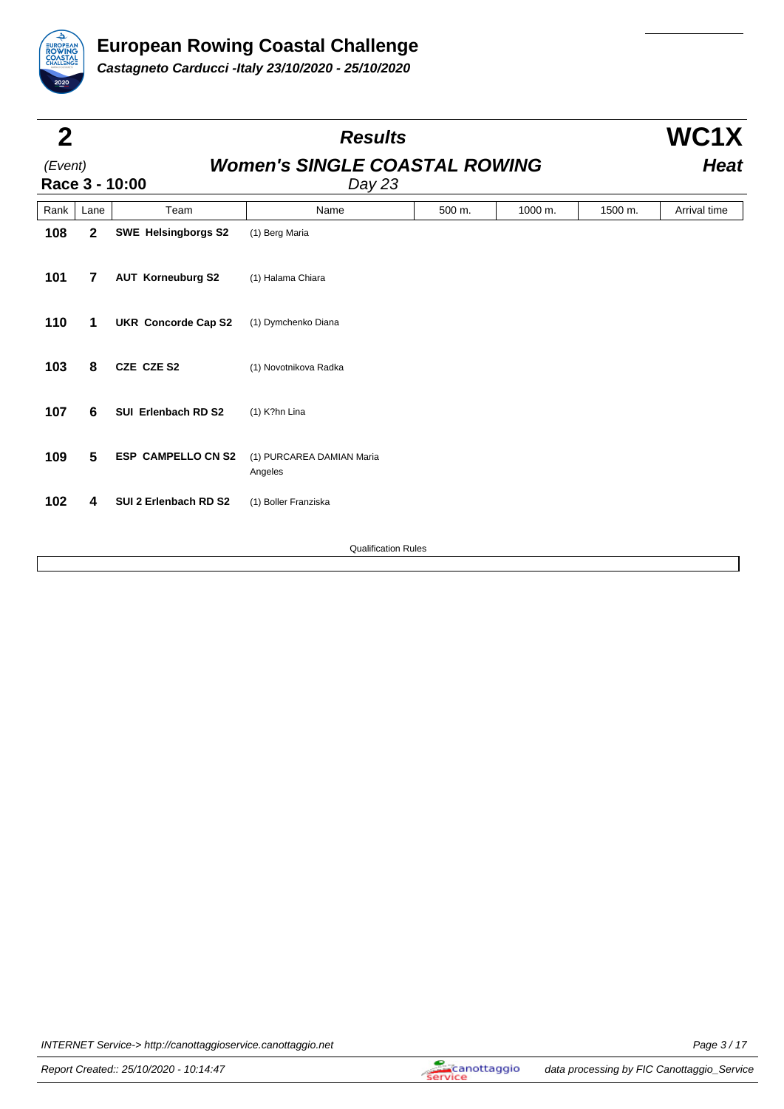

| $\mathbf 2$ |                |                            | <b>Results</b>                                 |        |         |         | WC1X         |
|-------------|----------------|----------------------------|------------------------------------------------|--------|---------|---------|--------------|
| (Event)     |                | Race 3 - 10:00             | <b>Women's SINGLE COASTAL ROWING</b><br>Day 23 |        |         |         | <b>Heat</b>  |
| Rank        | Lane           | Team                       | Name                                           | 500 m. | 1000 m. | 1500 m. | Arrival time |
| 108         | $\mathbf 2$    | <b>SWE Helsingborgs S2</b> | (1) Berg Maria                                 |        |         |         |              |
| 101         | $\overline{7}$ | <b>AUT Korneuburg S2</b>   | (1) Halama Chiara                              |        |         |         |              |
| 110         | 1              | <b>UKR Concorde Cap S2</b> | (1) Dymchenko Diana                            |        |         |         |              |
| 103         | 8              | CZE CZE S2                 | (1) Novotnikova Radka                          |        |         |         |              |
| 107         | 6              | SUI Erlenbach RD S2        | (1) K?hn Lina                                  |        |         |         |              |
| 109         | 5              | <b>ESP CAMPELLO CN S2</b>  | (1) PURCAREA DAMIAN Maria<br>Angeles           |        |         |         |              |
| 102         | 4              | SUI 2 Erlenbach RD S2      | (1) Boller Franziska                           |        |         |         |              |
|             |                |                            | <b>Qualification Rules</b>                     |        |         |         |              |
|             |                |                            |                                                |        |         |         |              |

INTERNET Service-> http://canottaggioservice.canottaggio.net Page 3/17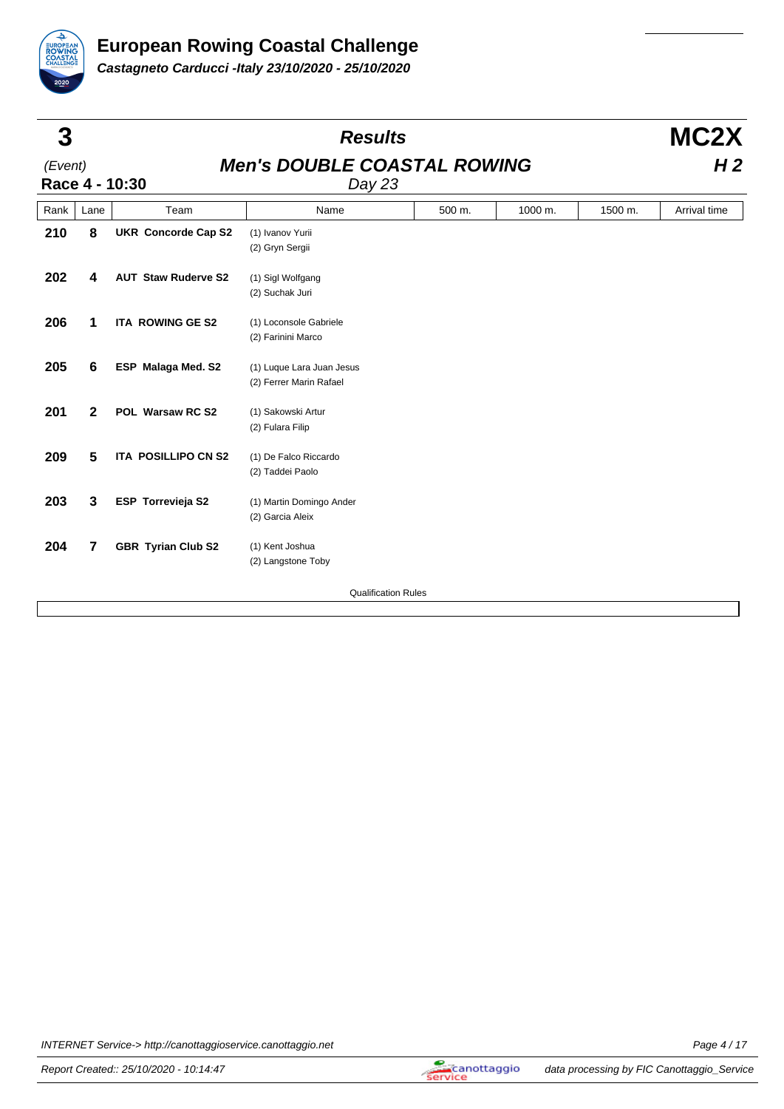

| 3       |                          |                            | <b>Results</b>                                       |        |         |         | MC2X           |
|---------|--------------------------|----------------------------|------------------------------------------------------|--------|---------|---------|----------------|
| (Event) |                          | Race 4 - 10:30             | <b>Men's DOUBLE COASTAL ROWING</b><br>Day 23         |        |         |         | H <sub>2</sub> |
| Rank    | Lane                     | Team                       | Name                                                 | 500 m. | 1000 m. | 1500 m. | Arrival time   |
| 210     | 8                        | <b>UKR Concorde Cap S2</b> | (1) Ivanov Yurii<br>(2) Gryn Sergii                  |        |         |         |                |
| 202     | 4                        | <b>AUT Staw Ruderve S2</b> | (1) Sigl Wolfgang<br>(2) Suchak Juri                 |        |         |         |                |
| 206     | 1                        | <b>ITA ROWING GE S2</b>    | (1) Loconsole Gabriele<br>(2) Farinini Marco         |        |         |         |                |
| 205     | 6                        | <b>ESP</b> Malaga Med. S2  | (1) Luque Lara Juan Jesus<br>(2) Ferrer Marin Rafael |        |         |         |                |
| 201     | $\mathbf{2}$             | POL Warsaw RC S2           | (1) Sakowski Artur<br>(2) Fulara Filip               |        |         |         |                |
| 209     | $5\phantom{1}$           | ITA POSILLIPO CN S2        | (1) De Falco Riccardo<br>(2) Taddei Paolo            |        |         |         |                |
| 203     | 3                        | ESP Torrevieja S2          | (1) Martin Domingo Ander<br>(2) Garcia Aleix         |        |         |         |                |
| 204     | $\overline{\phantom{a}}$ | <b>GBR Tyrian Club S2</b>  | (1) Kent Joshua<br>(2) Langstone Toby                |        |         |         |                |
|         |                          |                            | <b>Qualification Rules</b>                           |        |         |         |                |
|         |                          |                            |                                                      |        |         |         |                |

INTERNET Service-> http://canottaggioservice.canottaggio.net Page 4 / 17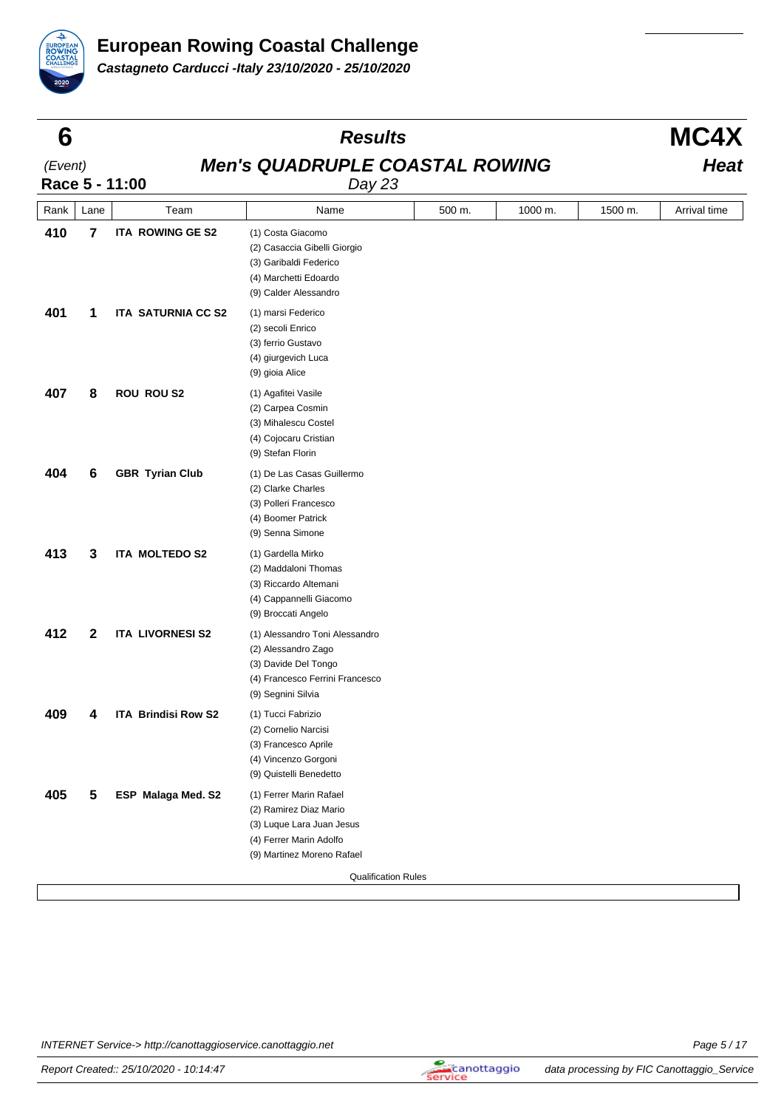

| 6       |                         |                                                                   | <b>Results</b>                                                                                                                          |        |         |         | MC4X         |  |  |
|---------|-------------------------|-------------------------------------------------------------------|-----------------------------------------------------------------------------------------------------------------------------------------|--------|---------|---------|--------------|--|--|
| (Event) |                         | <b>Men's QUADRUPLE COASTAL ROWING</b><br>Race 5 - 11:00<br>Day 23 |                                                                                                                                         |        |         |         |              |  |  |
| Rank    | Lane                    | Team                                                              | Name                                                                                                                                    | 500 m. | 1000 m. | 1500 m. | Arrival time |  |  |
| 410     | $\overline{\mathbf{r}}$ | ITA ROWING GE S2                                                  | (1) Costa Giacomo<br>(2) Casaccia Gibelli Giorgio<br>(3) Garibaldi Federico<br>(4) Marchetti Edoardo<br>(9) Calder Alessandro           |        |         |         |              |  |  |
| 401     | 1                       | <b>ITA SATURNIA CC S2</b>                                         | (1) marsi Federico<br>(2) secoli Enrico<br>(3) ferrio Gustavo<br>(4) giurgevich Luca<br>(9) gioia Alice                                 |        |         |         |              |  |  |
| 407     | 8                       | <b>ROU ROU S2</b>                                                 | (1) Agafitei Vasile<br>(2) Carpea Cosmin<br>(3) Mihalescu Costel<br>(4) Cojocaru Cristian<br>(9) Stefan Florin                          |        |         |         |              |  |  |
| 404     | 6                       | <b>GBR Tyrian Club</b>                                            | (1) De Las Casas Guillermo<br>(2) Clarke Charles<br>(3) Polleri Francesco<br>(4) Boomer Patrick<br>(9) Senna Simone                     |        |         |         |              |  |  |
| 413     | 3                       | ITA MOLTEDO S2                                                    | (1) Gardella Mirko<br>(2) Maddaloni Thomas<br>(3) Riccardo Altemani<br>(4) Cappannelli Giacomo<br>(9) Broccati Angelo                   |        |         |         |              |  |  |
| 412     | $\mathbf{2}$            | <b>ITA LIVORNESI S2</b>                                           | (1) Alessandro Toni Alessandro<br>(2) Alessandro Zago<br>(3) Davide Del Tongo<br>(4) Francesco Ferrini Francesco<br>(9) Segnini Silvia  |        |         |         |              |  |  |
| 409     | 4                       | <b>ITA Brindisi Row S2</b>                                        | (1) Tucci Fabrizio<br>(2) Cornelio Narcisi<br>(3) Francesco Aprile<br>(4) Vincenzo Gorgoni<br>(9) Quistelli Benedetto                   |        |         |         |              |  |  |
| 405     | 5                       | ESP Malaga Med. S2                                                | (1) Ferrer Marin Rafael<br>(2) Ramirez Diaz Mario<br>(3) Luque Lara Juan Jesus<br>(4) Ferrer Marin Adolfo<br>(9) Martinez Moreno Rafael |        |         |         |              |  |  |
|         |                         |                                                                   | <b>Qualification Rules</b>                                                                                                              |        |         |         |              |  |  |

INTERNET Service-> http://canottaggioservice.canottaggio.net Page 5 / 17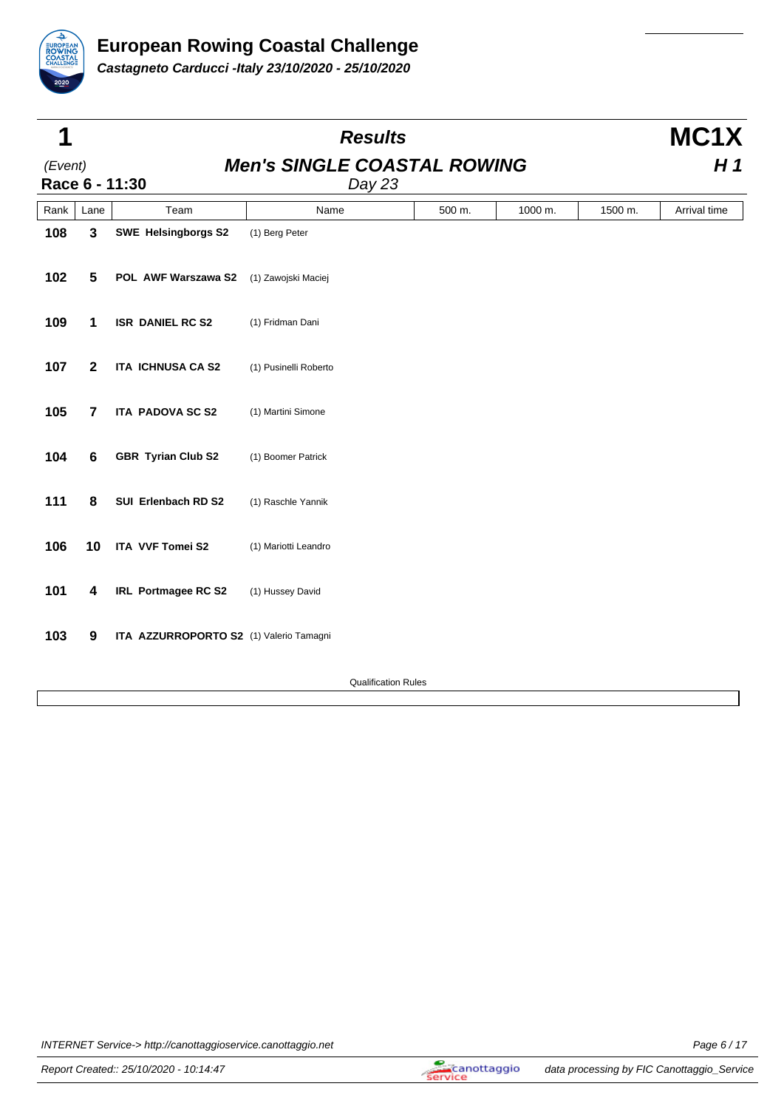

| 1       |                |                                         | <b>Results</b>                               |        |         |         | MC1X         |  |
|---------|----------------|-----------------------------------------|----------------------------------------------|--------|---------|---------|--------------|--|
| (Event) |                | Race 6 - 11:30                          | <b>Men's SINGLE COASTAL ROWING</b><br>Day 23 |        |         |         | H1           |  |
| Rank    | Lane           | Team                                    | Name                                         | 500 m. | 1000 m. | 1500 m. | Arrival time |  |
| 108     | $\mathbf{3}$   | <b>SWE Helsingborgs S2</b>              | (1) Berg Peter                               |        |         |         |              |  |
| 102     | 5              | POL AWF Warszawa S2                     | (1) Zawojski Maciej                          |        |         |         |              |  |
| 109     | 1              | <b>ISR DANIEL RC S2</b>                 | (1) Fridman Dani                             |        |         |         |              |  |
| 107     | $\mathbf{2}$   | <b>ITA ICHNUSA CA S2</b>                | (1) Pusinelli Roberto                        |        |         |         |              |  |
| 105     | $\overline{7}$ | <b>ITA PADOVA SC S2</b>                 | (1) Martini Simone                           |        |         |         |              |  |
| 104     | 6              | GBR Tyrian Club S2                      | (1) Boomer Patrick                           |        |         |         |              |  |
| 111     | 8              | SUI Erlenbach RD S2                     | (1) Raschle Yannik                           |        |         |         |              |  |
| 106     | 10             | ITA VVF Tomei S2                        | (1) Mariotti Leandro                         |        |         |         |              |  |
| 101     | 4              | IRL Portmagee RC S2                     | (1) Hussey David                             |        |         |         |              |  |
| 103     | 9              | ITA AZZURROPORTO S2 (1) Valerio Tamagni |                                              |        |         |         |              |  |

Qualification Rules

INTERNET Service-> http://canottaggioservice.canottaggio.net Page 6 / 17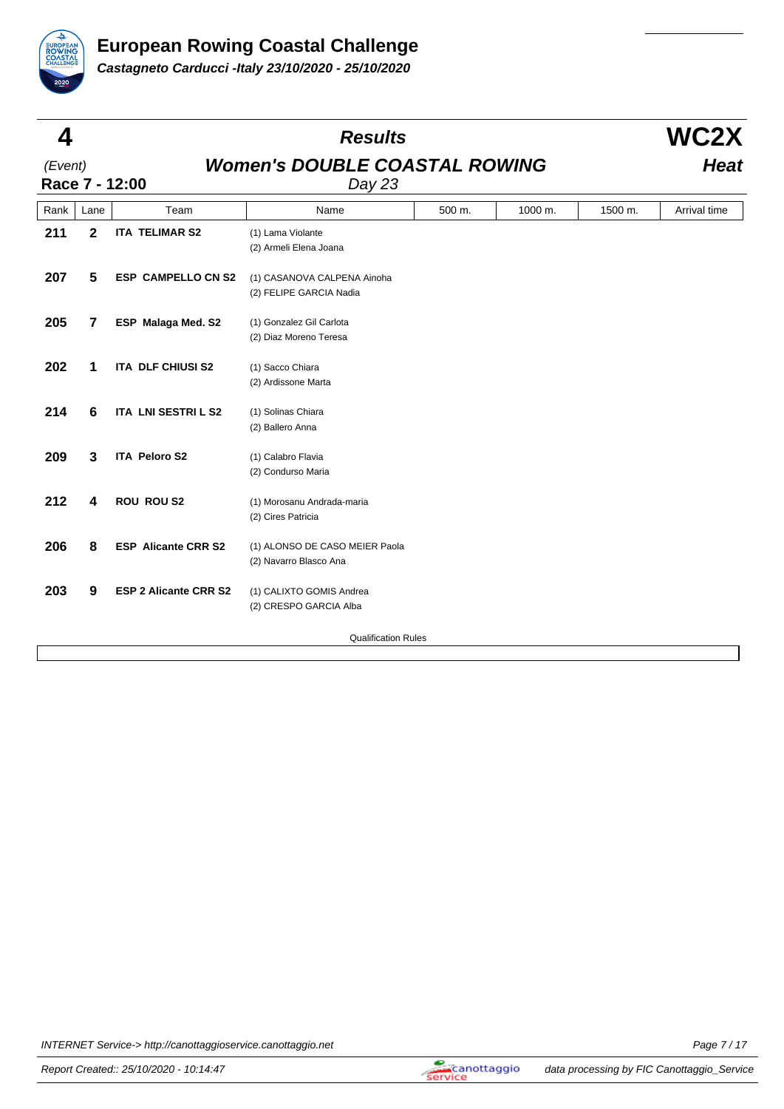

| 4       |      |                              | <b>Results</b>                                           |        |         |         | WC2X         |  |
|---------|------|------------------------------|----------------------------------------------------------|--------|---------|---------|--------------|--|
| (Event) |      | Race 7 - 12:00               | <b>Women's DOUBLE COASTAL ROWING</b><br>Day 23           |        |         |         |              |  |
| Rank    | Lane | Team                         | Name                                                     | 500 m. | 1000 m. | 1500 m. | Arrival time |  |
| 211     | 2    | <b>ITA TELIMAR S2</b>        | (1) Lama Violante<br>(2) Armeli Elena Joana              |        |         |         |              |  |
| 207     | 5    | <b>ESP CAMPELLO CN S2</b>    | (1) CASANOVA CALPENA Ainoha<br>(2) FELIPE GARCIA Nadia   |        |         |         |              |  |
| 205     | 7    | <b>ESP Malaga Med. S2</b>    | (1) Gonzalez Gil Carlota<br>(2) Diaz Moreno Teresa       |        |         |         |              |  |
| 202     | 1    | ITA DLF CHIUSI S2            | (1) Sacco Chiara<br>(2) Ardissone Marta                  |        |         |         |              |  |
| 214     | 6    | ITA LNI SESTRI L S2          | (1) Solinas Chiara<br>(2) Ballero Anna                   |        |         |         |              |  |
| 209     | 3    | <b>ITA Peloro S2</b>         | (1) Calabro Flavia<br>(2) Condurso Maria                 |        |         |         |              |  |
| 212     | 4    | <b>ROU ROU S2</b>            | (1) Morosanu Andrada-maria<br>(2) Cires Patricia         |        |         |         |              |  |
| 206     | 8    | <b>ESP Alicante CRR S2</b>   | (1) ALONSO DE CASO MEIER Paola<br>(2) Navarro Blasco Ana |        |         |         |              |  |
| 203     | 9    | <b>ESP 2 Alicante CRR S2</b> | (1) CALIXTO GOMIS Andrea<br>(2) CRESPO GARCIA Alba       |        |         |         |              |  |
|         |      |                              | <b>Qualification Rules</b>                               |        |         |         |              |  |

INTERNET Service-> http://canottaggioservice.canottaggio.net Page 7 / 17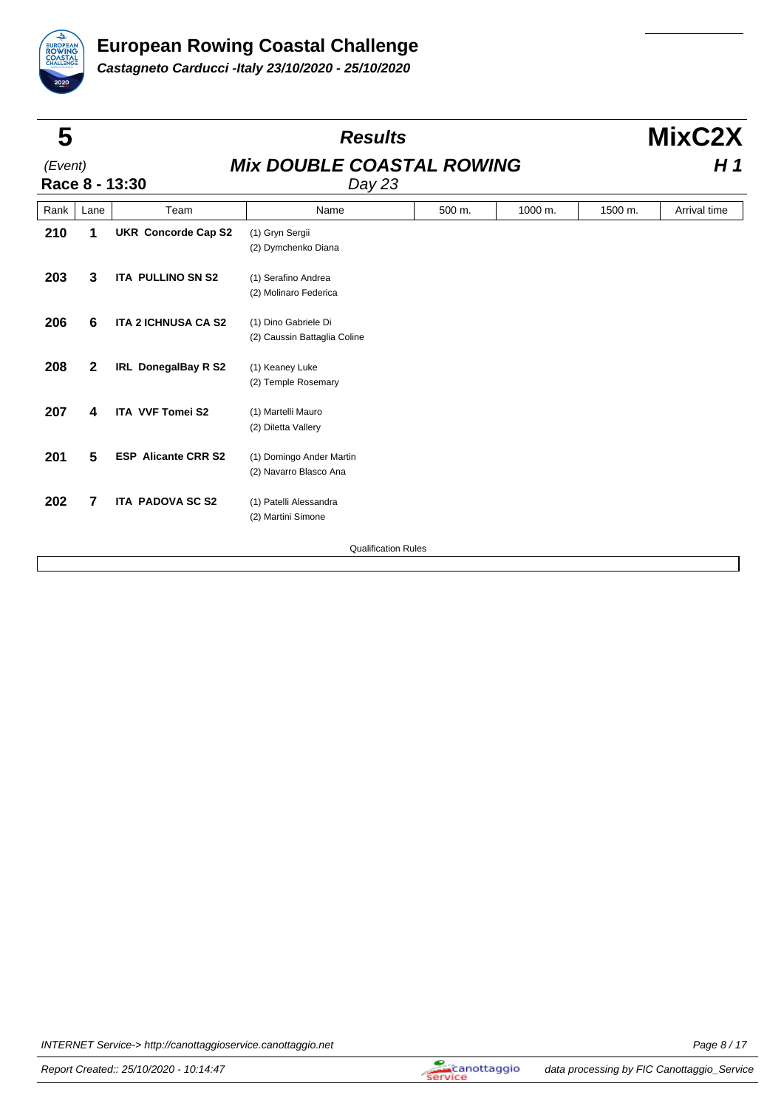

| 5       |              |                            | <b>Results</b>                                       |        |         |                | MixC2X       |  |
|---------|--------------|----------------------------|------------------------------------------------------|--------|---------|----------------|--------------|--|
| (Event) |              | Race 8 - 13:30             | <b>Mix DOUBLE COASTAL ROWING</b><br>Day 23           |        |         | H <sub>1</sub> |              |  |
| Rank    | Lane         | Team                       | Name                                                 | 500 m. | 1000 m. | 1500 m.        | Arrival time |  |
| 210     | 1            | <b>UKR Concorde Cap S2</b> | (1) Gryn Sergii<br>(2) Dymchenko Diana               |        |         |                |              |  |
| 203     | 3            | <b>ITA PULLINO SN S2</b>   | (1) Serafino Andrea<br>(2) Molinaro Federica         |        |         |                |              |  |
| 206     | 6            | <b>ITA 2 ICHNUSA CA S2</b> | (1) Dino Gabriele Di<br>(2) Caussin Battaglia Coline |        |         |                |              |  |
| 208     | $\mathbf{2}$ | <b>IRL DonegalBay R S2</b> | (1) Keaney Luke<br>(2) Temple Rosemary               |        |         |                |              |  |
| 207     | 4            | <b>ITA VVF Tomei S2</b>    | (1) Martelli Mauro<br>(2) Diletta Vallery            |        |         |                |              |  |
| 201     | 5            | <b>ESP Alicante CRR S2</b> | (1) Domingo Ander Martin<br>(2) Navarro Blasco Ana   |        |         |                |              |  |
| 202     | 7            | <b>ITA PADOVA SC S2</b>    | (1) Patelli Alessandra<br>(2) Martini Simone         |        |         |                |              |  |
|         |              |                            | <b>Qualification Rules</b>                           |        |         |                |              |  |
|         |              |                            |                                                      |        |         |                |              |  |

INTERNET Service-> http://canottaggioservice.canottaggio.net Page 8/17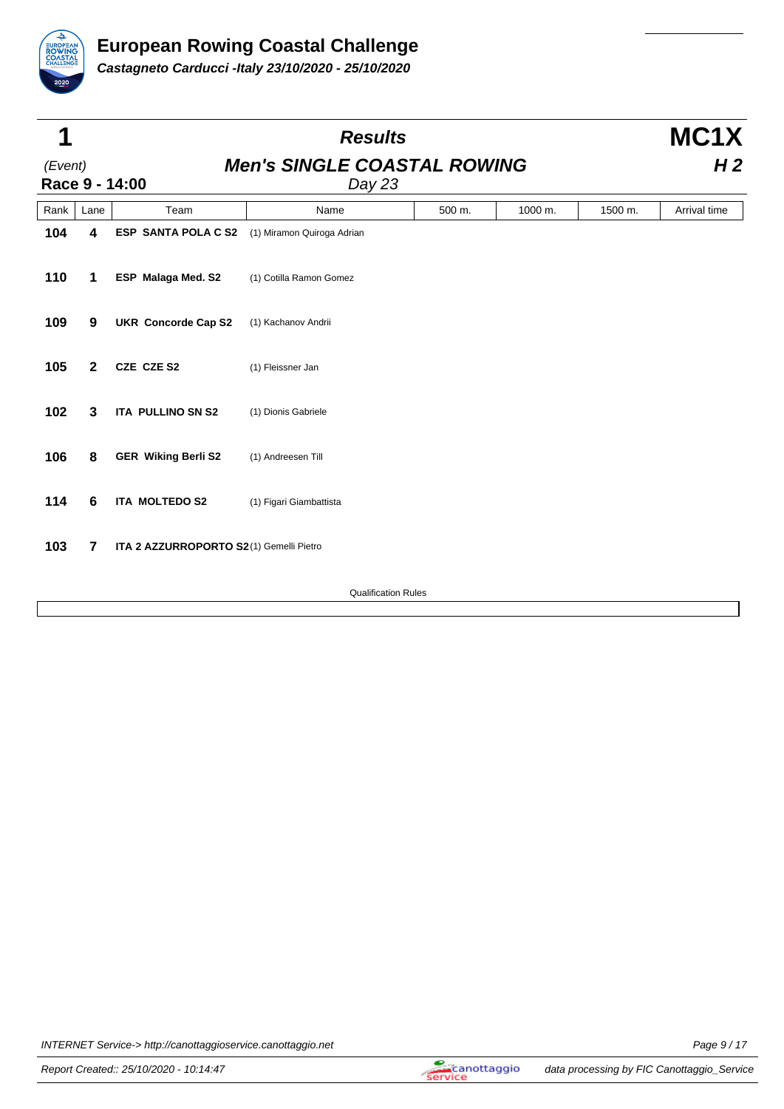

| 1       |                |                                         | <b>Results</b>                               |        |         |         | MC1X           |  |
|---------|----------------|-----------------------------------------|----------------------------------------------|--------|---------|---------|----------------|--|
| (Event) |                | Race 9 - 14:00                          | <b>Men's SINGLE COASTAL ROWING</b><br>Day 23 |        |         |         | H <sub>2</sub> |  |
| Rank    | Lane           | Team                                    | Name                                         | 500 m. | 1000 m. | 1500 m. | Arrival time   |  |
| 104     | 4              | <b>ESP SANTA POLA C S2</b>              | (1) Miramon Quiroga Adrian                   |        |         |         |                |  |
| 110     | 1              | ESP Malaga Med. S2                      | (1) Cotilla Ramon Gomez                      |        |         |         |                |  |
| 109     | 9              | <b>UKR Concorde Cap S2</b>              | (1) Kachanov Andrii                          |        |         |         |                |  |
| 105     | $\mathbf{2}$   | CZE CZE S2                              | (1) Fleissner Jan                            |        |         |         |                |  |
| 102     | 3              | <b>ITA PULLINO SN S2</b>                | (1) Dionis Gabriele                          |        |         |         |                |  |
| 106     | 8              | <b>GER Wiking Berli S2</b>              | (1) Andreesen Till                           |        |         |         |                |  |
| 114     | 6              | ITA MOLTEDO S2                          | (1) Figari Giambattista                      |        |         |         |                |  |
| 103     | $\overline{7}$ | ITA 2 AZZURROPORTO S2(1) Gemelli Pietro |                                              |        |         |         |                |  |
|         |                |                                         | <b>Qualification Rules</b>                   |        |         |         |                |  |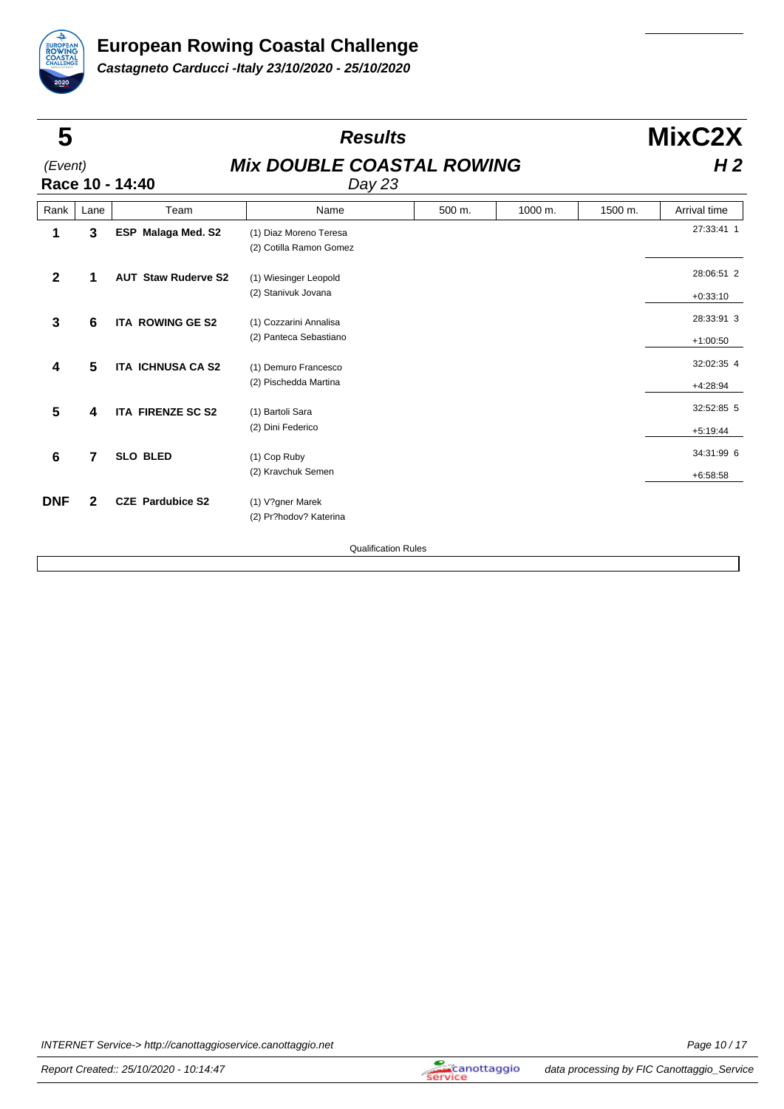

| 5           |              |                            | <b>Results</b>                                    |        |         |                | MixC2X                   |  |
|-------------|--------------|----------------------------|---------------------------------------------------|--------|---------|----------------|--------------------------|--|
| (Event)     |              | Race 10 - 14:40            | <b>Mix DOUBLE COASTAL ROWING</b><br>Day 23        |        |         | H <sub>2</sub> |                          |  |
| Rank        | Lane         | Team                       | Name                                              | 500 m. | 1000 m. | 1500 m.        | Arrival time             |  |
| 1           | 3            | <b>ESP</b> Malaga Med. S2  | (1) Diaz Moreno Teresa<br>(2) Cotilla Ramon Gomez |        |         |                | 27:33:41 1               |  |
| $\mathbf 2$ | 1            | <b>AUT Staw Ruderve S2</b> | (1) Wiesinger Leopold<br>(2) Stanivuk Jovana      |        |         |                | 28:06:51 2<br>$+0:33:10$ |  |
| 3           | 6            | <b>ITA ROWING GE S2</b>    | (1) Cozzarini Annalisa<br>(2) Panteca Sebastiano  |        |         |                | 28:33:91 3<br>$+1:00:50$ |  |
| 4           | 5            | <b>ITA ICHNUSA CA S2</b>   | (1) Demuro Francesco<br>(2) Pischedda Martina     |        |         |                | 32:02:35 4<br>$+4:28:94$ |  |
| 5           | 4            | <b>ITA FIRENZE SC S2</b>   | (1) Bartoli Sara<br>(2) Dini Federico             |        |         |                | 32:52:85 5<br>$+5:19:44$ |  |
| 6           | 7            | <b>SLO BLED</b>            | (1) Cop Ruby<br>(2) Kravchuk Semen                |        |         |                | 34:31:99 6<br>$+6:58:58$ |  |
| <b>DNF</b>  | $\mathbf{2}$ | <b>CZE</b> Pardubice S2    | (1) V?gner Marek<br>(2) Pr?hodov? Katerina        |        |         |                |                          |  |
|             |              |                            | <b>Qualification Rules</b>                        |        |         |                |                          |  |
|             |              |                            |                                                   |        |         |                |                          |  |

INTERNET Service-> http://canottaggioservice.canottaggio.net example of the example of the Page 10 / 17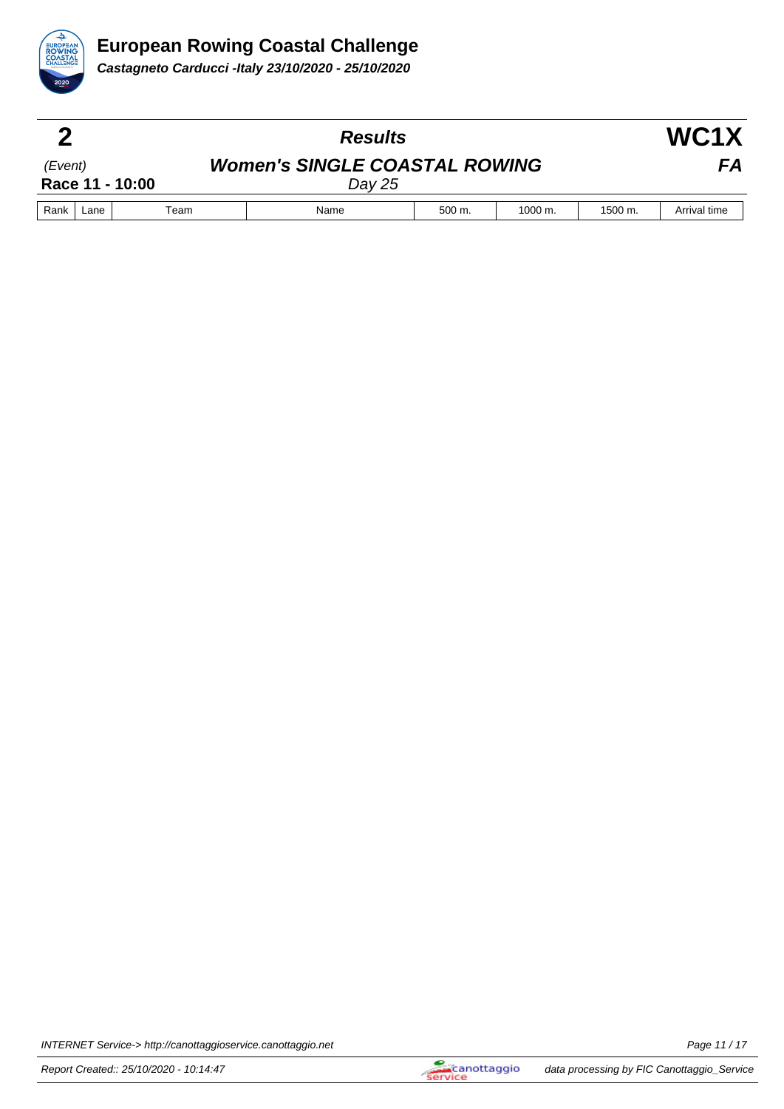

| Ω       |      |                 | <b>Results</b>                                 |        |                    |         |              |  |
|---------|------|-----------------|------------------------------------------------|--------|--------------------|---------|--------------|--|
| (Event) |      | Race 11 - 10:00 | <b>Women's SINGLE COASTAL ROWING</b><br>Day 25 |        |                    |         | FA           |  |
| Rank    | Lane | Team            | Name                                           | 500 m. | $1000 \text{ m}$ . | 1500 m. | Arrival time |  |

INTERNET Service-> http://canottaggioservice.canottaggio.net **Page 11/17** Page 11/17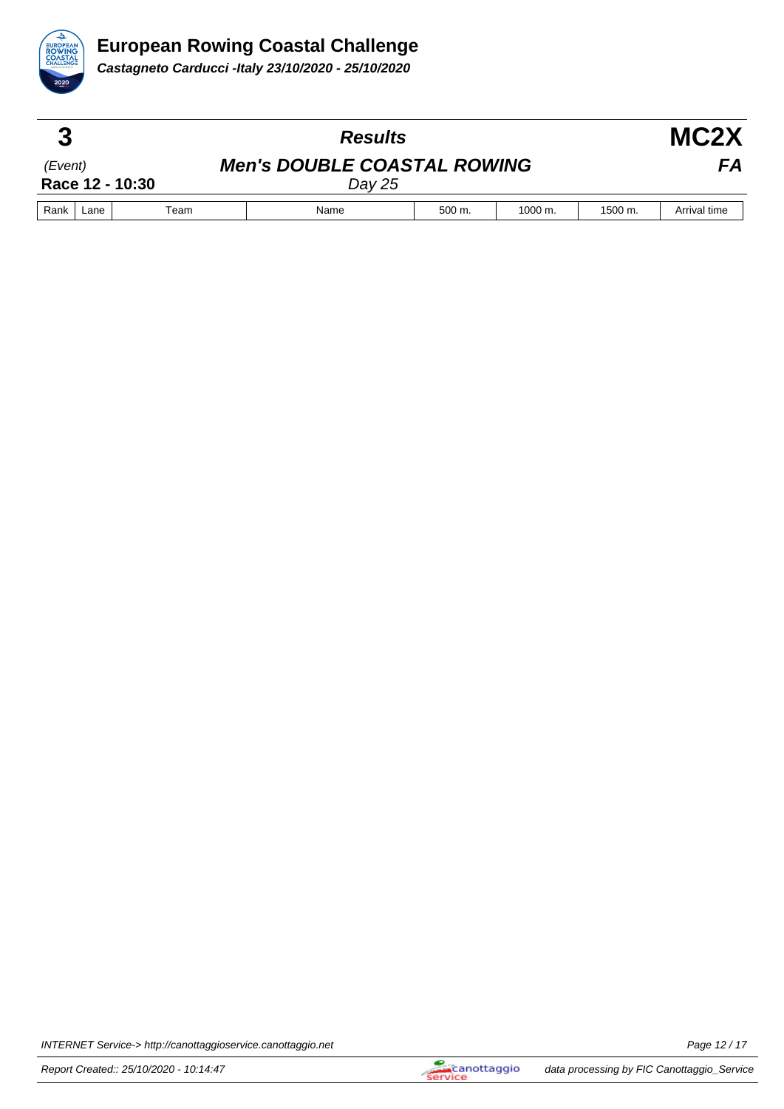

| €       |      |                 | <b>Results</b><br><b>Men's DOUBLE COASTAL ROWING</b><br>Day 25 |        |                      |         | MC <sub>2</sub> X |
|---------|------|-----------------|----------------------------------------------------------------|--------|----------------------|---------|-------------------|
| (Event) |      | Race 12 - 10:30 |                                                                |        |                      |         | FА                |
| Rank    | Lane | Team            | Name                                                           | 500 m. | $1000 \; \text{m}$ . | 1500 m. | Arrival time      |

INTERNET Service-> http://canottaggioservice.canottaggio.net Page 12 / 17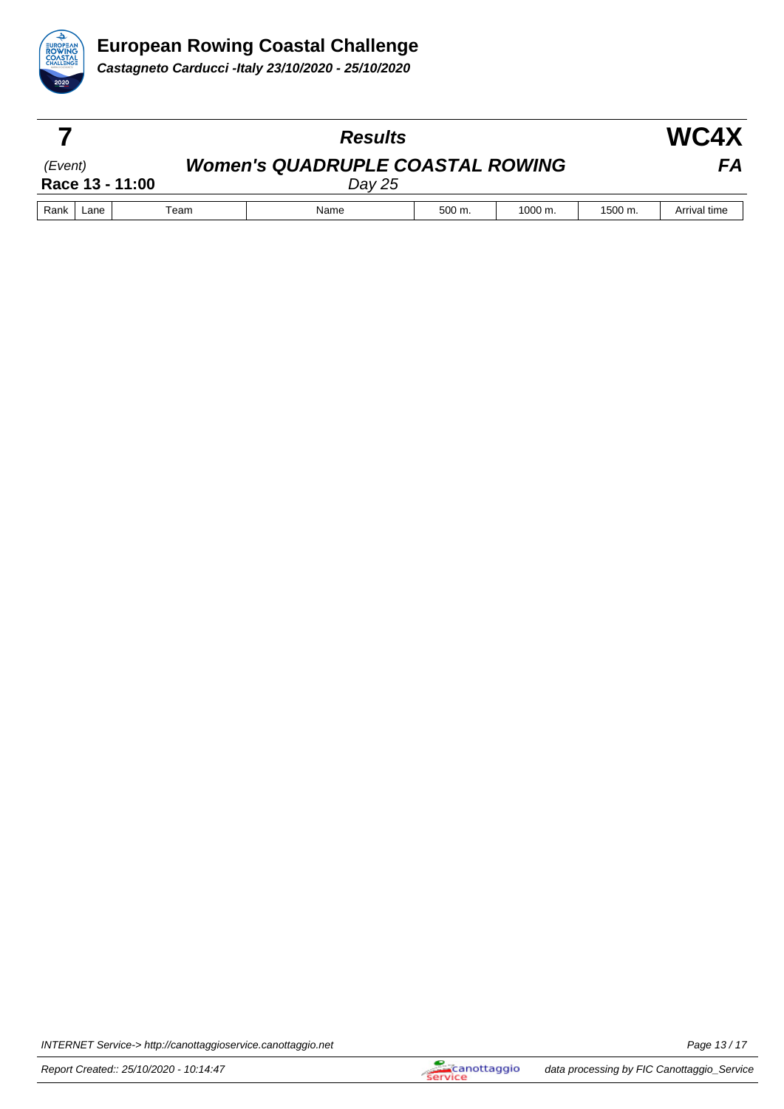

|         |      |                 | <b>Results</b>                                    |        |              |         |              |
|---------|------|-----------------|---------------------------------------------------|--------|--------------|---------|--------------|
| (Event) |      | Race 13 - 11:00 | <b>Women's QUADRUPLE COASTAL ROWING</b><br>Day 25 |        |              |         | FА           |
| Rank    | Lane | Team            | Name                                              | 500 m. | $1000 \; m.$ | 1500 m. | Arrival time |

INTERNET Service-> http://canottaggioservice.canottaggio.net **Page 13/17** Page 13/17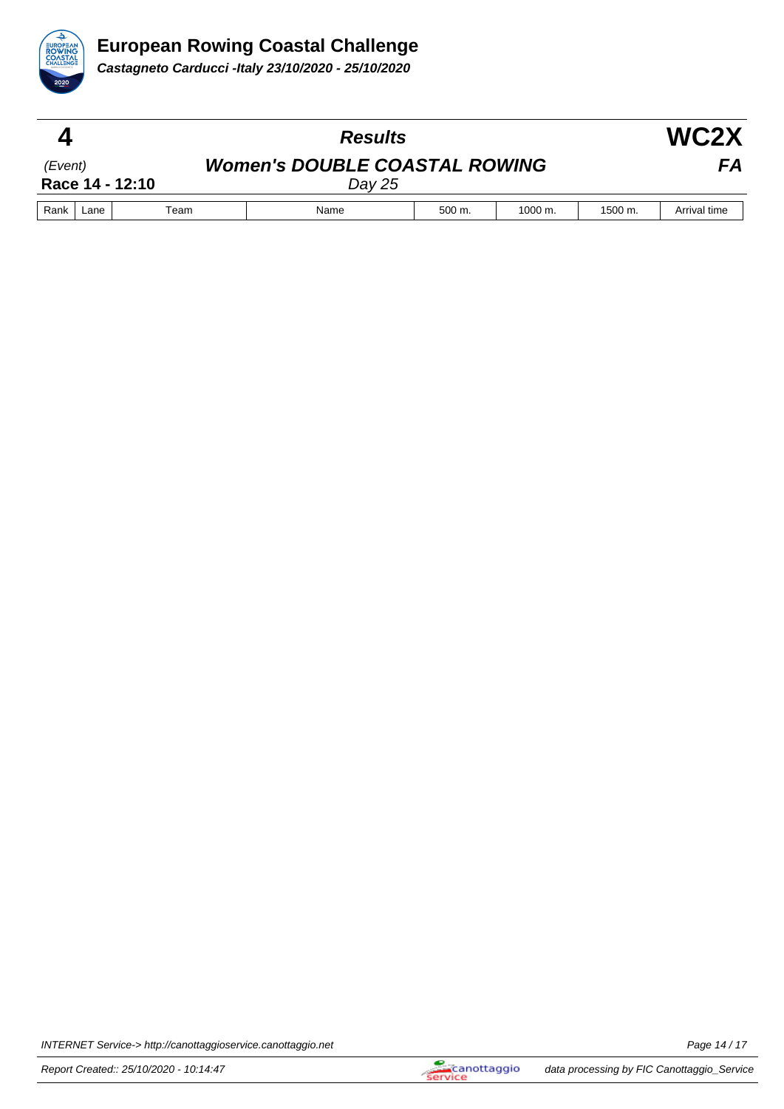

|         |      |                 | <b>Results</b>                                 |        |                      |         | WC2X         |  |
|---------|------|-----------------|------------------------------------------------|--------|----------------------|---------|--------------|--|
| (Event) |      | Race 14 - 12:10 | <b>Women's DOUBLE COASTAL ROWING</b><br>Day 25 |        |                      |         | FA           |  |
| Rank    | Lane | Team            | Name                                           | 500 m. | $1000 \; \text{m}$ . | 1500 m. | Arrival time |  |

INTERNET Service-> http://canottaggioservice.canottaggio.net example of the example of the Page 14 / 17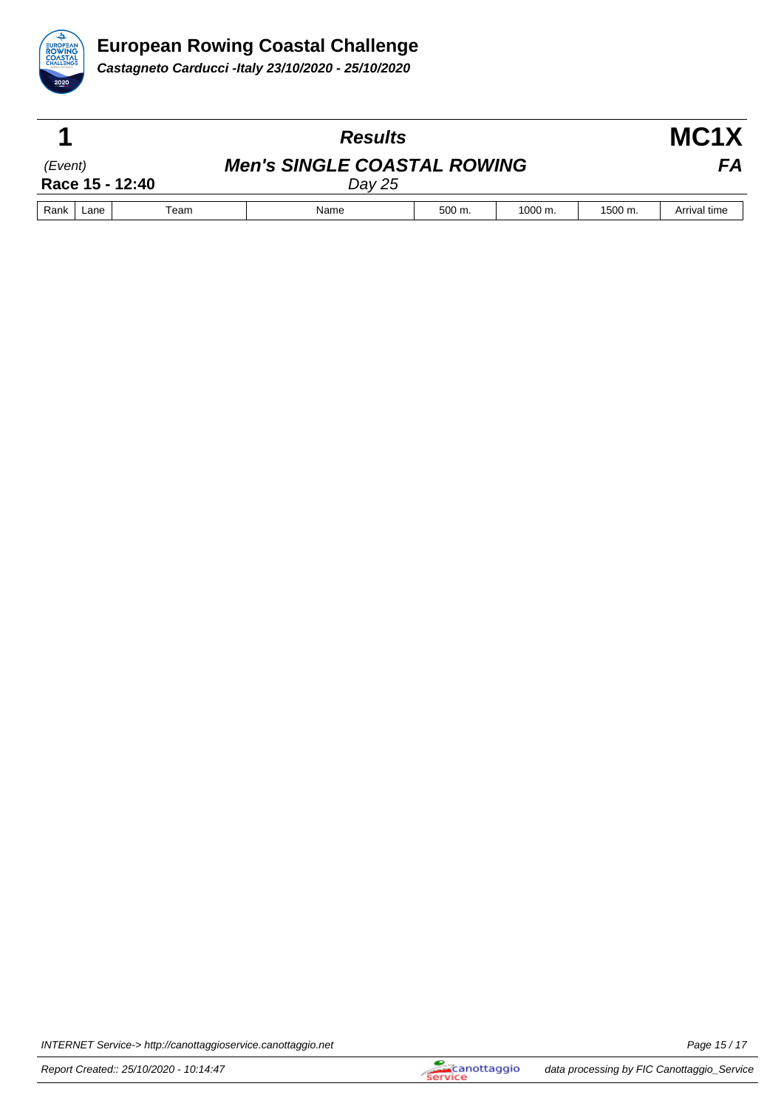

|         |      |                 | <b>Results</b>                               |        |                      |              | MC <sub>1</sub> X |  |
|---------|------|-----------------|----------------------------------------------|--------|----------------------|--------------|-------------------|--|
| (Event) |      | Race 15 - 12:40 | <b>Men's SINGLE COASTAL ROWING</b><br>Day 25 |        |                      | FA           |                   |  |
| Rank    | Lane | Team            | Name                                         | 500 m. | $1000 \; \text{m}$ . | $1500 \; m.$ | Arrival time      |  |

INTERNET Service-> http://canottaggioservice.canottaggio.net **Page 15/17** Page 15/17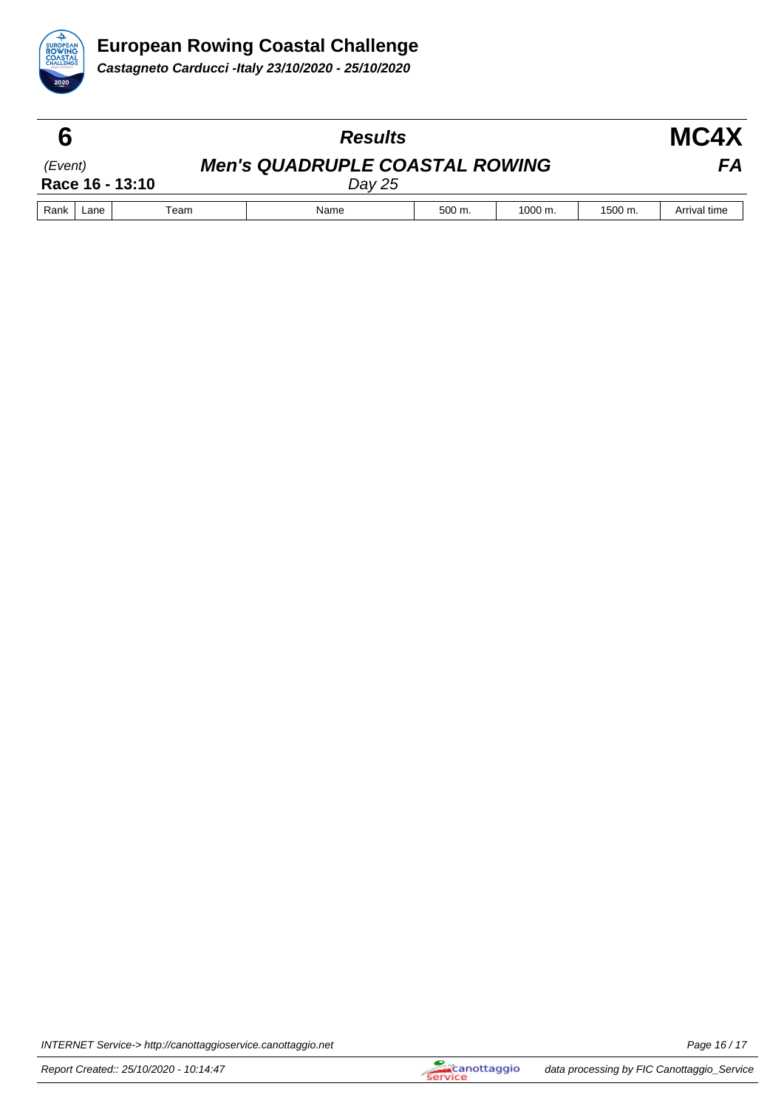

|         |      |                 | <b>Results</b>                                  |             |                    |         | MC4X         |  |
|---------|------|-----------------|-------------------------------------------------|-------------|--------------------|---------|--------------|--|
| (Event) |      | Race 16 - 13:10 | <b>Men's QUADRUPLE COASTAL ROWING</b><br>Day 25 |             |                    |         | FА           |  |
| Rank    | Lane | Team            | Name                                            | $500 \; m.$ | $1000 \text{ m}$ . | 1500 m. | Arrival time |  |

INTERNET Service-> http://canottaggioservice.canottaggio.net **Page 16/17** Page 16 / 17